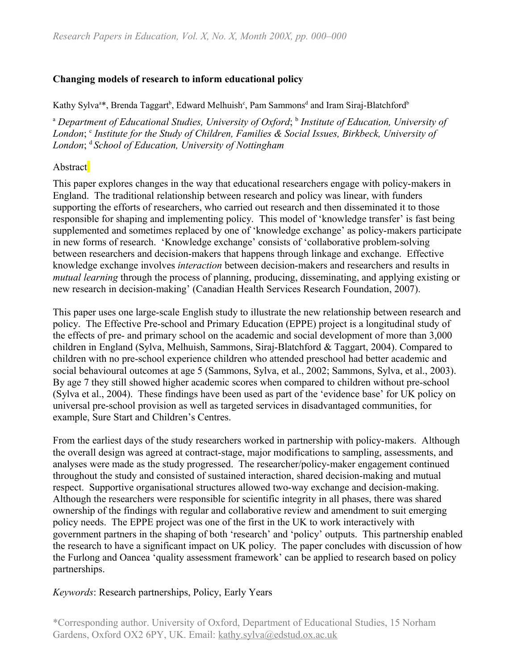# **Changing models of research to inform educational policy**

Kathy Sylva<sup>a\*</sup>, Brenda Taggart<sup>b</sup>, Edward Melhuish<sup>c</sup>, Pam Sammons<sup>d</sup> and Iram Siraj-Blatchford<sup>b</sup>

<sup>a</sup> Department of Educational Studies, University of Oxford; <sup>b</sup> Institute of Education, University of London; <sup>c</sup> Institute for the Study of Children, Families & Social Issues, Birkbeck, University of *London*; <sup>d</sup> *School of Education, University of Nottingham*

# Abstract

This paper explores changes in the way that educational researchers engage with policy-makers in England. The traditional relationship between research and policy was linear, with funders supporting the efforts of researchers, who carried out research and then disseminated it to those responsible for shaping and implementing policy. This model of 'knowledge transfer' is fast being supplemented and sometimes replaced by one of 'knowledge exchange' as policy-makers participate in new forms of research. 'Knowledge exchange' consists of 'collaborative problem-solving between researchers and decision-makers that happens through linkage and exchange. Effective knowledge exchange involves *interaction* between decision-makers and researchers and results in *mutual learning* through the process of planning, producing, disseminating, and applying existing or new research in decision-making' (Canadian Health Services Research Foundation, 2007).

This paper uses one large-scale English study to illustrate the new relationship between research and policy. The Effective Pre-school and Primary Education (EPPE) project is a longitudinal study of the effects of pre- and primary school on the academic and social development of more than 3,000 children in England (Sylva, Melhuish, Sammons, Siraj-Blatchford & Taggart, 2004). Compared to children with no pre-school experience children who attended preschool had better academic and social behavioural outcomes at age 5 (Sammons, Sylva, et al., 2002; Sammons, Sylva, et al., 2003). By age 7 they still showed higher academic scores when compared to children without pre-school (Sylva et al., 2004). These findings have been used as part of the 'evidence base' for UK policy on universal pre-school provision as well as targeted services in disadvantaged communities, for example, Sure Start and Children's Centres.

From the earliest days of the study researchers worked in partnership with policy-makers. Although the overall design was agreed at contract-stage, major modifications to sampling, assessments, and analyses were made as the study progressed. The researcher/policy-maker engagement continued throughout the study and consisted of sustained interaction, shared decision-making and mutual respect. Supportive organisational structures allowed two-way exchange and decision-making. Although the researchers were responsible for scientific integrity in all phases, there was shared ownership of the findings with regular and collaborative review and amendment to suit emerging policy needs. The EPPE project was one of the first in the UK to work interactively with government partners in the shaping of both 'research' and 'policy' outputs. This partnership enabled the research to have a significant impact on UK policy. The paper concludes with discussion of how the Furlong and Oancea 'quality assessment framework' can be applied to research based on policy partnerships.

# *Keywords*: Research partnerships, Policy, Early Years

\*Corresponding author. University of Oxford, Department of Educational Studies, 15 Norham Gardens, Oxford OX2 6PY, UK. Email: [kathy.sylva@edstud.ox.ac.uk](mailto:Kathy.sylva@edstud.ox.ac.uk)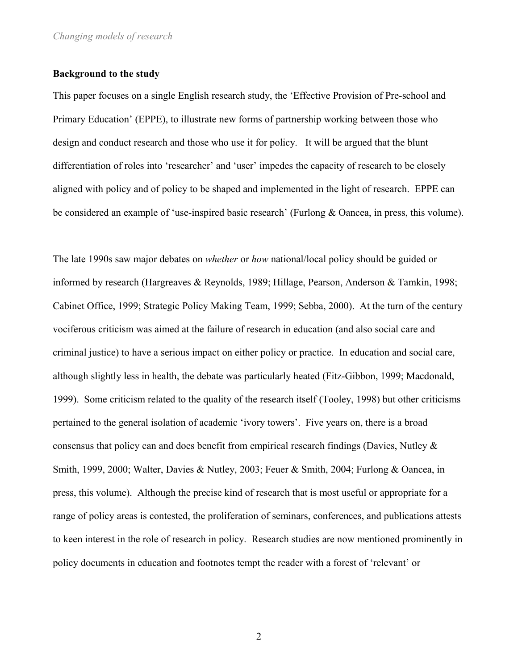#### **Background to the study**

This paper focuses on a single English research study, the 'Effective Provision of Pre-school and Primary Education' (EPPE), to illustrate new forms of partnership working between those who design and conduct research and those who use it for policy. It will be argued that the blunt differentiation of roles into 'researcher' and 'user' impedes the capacity of research to be closely aligned with policy and of policy to be shaped and implemented in the light of research. EPPE can be considered an example of 'use-inspired basic research' (Furlong & Oancea, in press, this volume).

The late 1990s saw major debates on *whether* or *how* national/local policy should be guided or informed by research (Hargreaves & Reynolds, 1989; Hillage, Pearson, Anderson & Tamkin, 1998; Cabinet Office, 1999; Strategic Policy Making Team, 1999; Sebba, 2000). At the turn of the century vociferous criticism was aimed at the failure of research in education (and also social care and criminal justice) to have a serious impact on either policy or practice. In education and social care, although slightly less in health, the debate was particularly heated (Fitz-Gibbon, 1999; Macdonald, 1999). Some criticism related to the quality of the research itself (Tooley, 1998) but other criticisms pertained to the general isolation of academic 'ivory towers'. Five years on, there is a broad consensus that policy can and does benefit from empirical research findings (Davies, Nutley & Smith, 1999, 2000; Walter, Davies & Nutley, 2003; Feuer & Smith, 2004; Furlong & Oancea, in press, this volume). Although the precise kind of research that is most useful or appropriate for a range of policy areas is contested, the proliferation of seminars, conferences, and publications attests to keen interest in the role of research in policy. Research studies are now mentioned prominently in policy documents in education and footnotes tempt the reader with a forest of 'relevant' or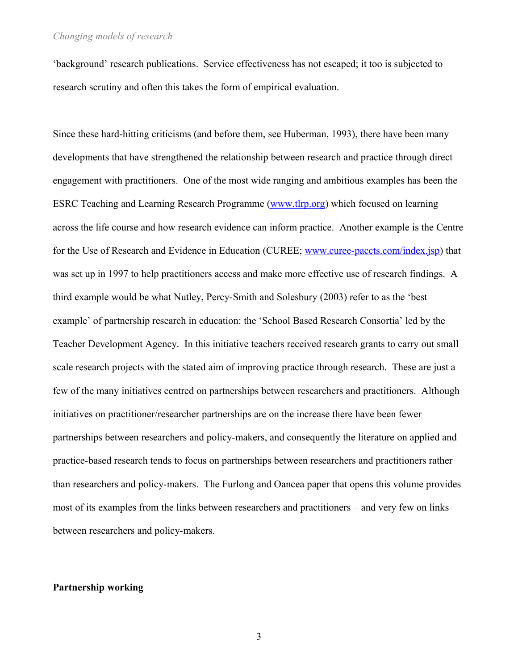'background' research publications. Service effectiveness has not escaped; it too is subjected to research scrutiny and often this takes the form of empirical evaluation.

Since these hard-hitting criticisms (and before them, see Huberman, 1993), there have been many developments that have strengthened the relationship between research and practice through direct engagement with practitioners. One of the most wide ranging and ambitious examples has been the ESRC Teaching and Learning Research Programme [\(www.tlrp.org\)](http://www.tlrp.org/) which focused on learning across the life course and how research evidence can inform practice. Another example is the Centre for the Use of Research and Evidence in Education (CUREE; www.curee-pacets.com/index.jsp) that was set up in 1997 to help practitioners access and make more effective use of research findings. A third example would be what Nutley, Percy-Smith and Solesbury (2003) refer to as the 'best example' of partnership research in education: the 'School Based Research Consortia' led by the Teacher Development Agency. In this initiative teachers received research grants to carry out small scale research projects with the stated aim of improving practice through research. These are just a few of the many initiatives centred on partnerships between researchers and practitioners. Although initiatives on practitioner/researcher partnerships are on the increase there have been fewer partnerships between researchers and policy-makers, and consequently the literature on applied and practice-based research tends to focus on partnerships between researchers and practitioners rather than researchers and policy-makers. The Furlong and Oancea paper that opens this volume provides most of its examples from the links between researchers and practitioners – and very few on links between researchers and policy-makers.

#### **Partnership working**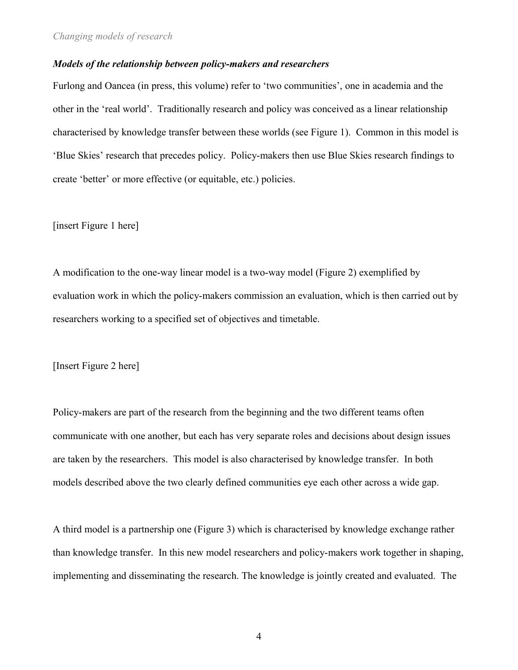## *Models of the relationship between policy-makers and researchers*

Furlong and Oancea (in press, this volume) refer to 'two communities', one in academia and the other in the 'real world'. Traditionally research and policy was conceived as a linear relationship characterised by knowledge transfer between these worlds (see Figure 1). Common in this model is 'Blue Skies' research that precedes policy. Policy-makers then use Blue Skies research findings to create 'better' or more effective (or equitable, etc.) policies.

[insert Figure 1 here]

A modification to the one-way linear model is a two-way model (Figure 2) exemplified by evaluation work in which the policy-makers commission an evaluation, which is then carried out by researchers working to a specified set of objectives and timetable.

[Insert Figure 2 here]

Policy-makers are part of the research from the beginning and the two different teams often communicate with one another, but each has very separate roles and decisions about design issues are taken by the researchers. This model is also characterised by knowledge transfer. In both models described above the two clearly defined communities eye each other across a wide gap.

A third model is a partnership one (Figure 3) which is characterised by knowledge exchange rather than knowledge transfer. In this new model researchers and policy-makers work together in shaping, implementing and disseminating the research. The knowledge is jointly created and evaluated. The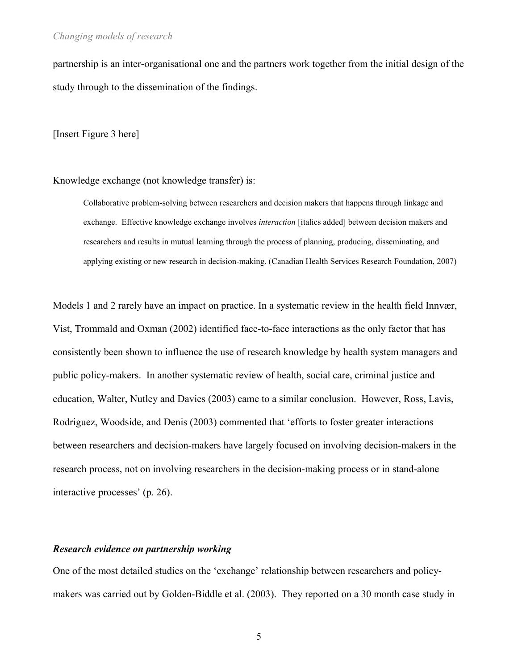partnership is an inter-organisational one and the partners work together from the initial design of the study through to the dissemination of the findings.

[Insert Figure 3 here]

Knowledge exchange (not knowledge transfer) is:

Collaborative problem-solving between researchers and decision makers that happens through linkage and exchange. Effective knowledge exchange involves *interaction* [italics added] between decision makers and researchers and results in mutual learning through the process of planning, producing, disseminating, and applying existing or new research in decision-making. (Canadian Health Services Research Foundation, 2007)

Models 1 and 2 rarely have an impact on practice. In a systematic review in the health field Innvær, Vist, Trommald and Oxman (2002) identified face-to-face interactions as the only factor that has consistently been shown to influence the use of research knowledge by health system managers and public policy-makers. In another systematic review of health, social care, criminal justice and education, Walter, Nutley and Davies (2003) came to a similar conclusion. However, Ross, Lavis, Rodriguez, Woodside, and Denis (2003) commented that 'efforts to foster greater interactions between researchers and decision-makers have largely focused on involving decision-makers in the research process, not on involving researchers in the decision-making process or in stand-alone interactive processes' (p. 26).

#### *Research evidence on partnership working*

One of the most detailed studies on the 'exchange' relationship between researchers and policymakers was carried out by Golden-Biddle et al. (2003). They reported on a 30 month case study in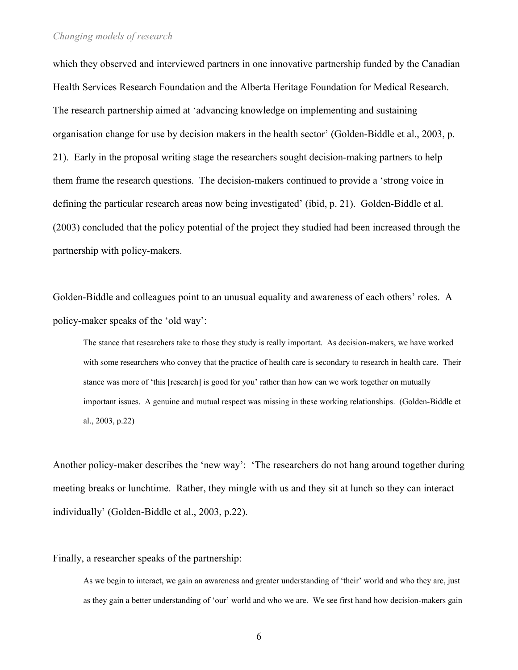which they observed and interviewed partners in one innovative partnership funded by the Canadian Health Services Research Foundation and the Alberta Heritage Foundation for Medical Research. The research partnership aimed at 'advancing knowledge on implementing and sustaining organisation change for use by decision makers in the health sector' (Golden-Biddle et al., 2003, p. 21). Early in the proposal writing stage the researchers sought decision-making partners to help them frame the research questions. The decision-makers continued to provide a 'strong voice in defining the particular research areas now being investigated' (ibid, p. 21). Golden-Biddle et al. (2003) concluded that the policy potential of the project they studied had been increased through the partnership with policy-makers.

Golden-Biddle and colleagues point to an unusual equality and awareness of each others' roles. A policy-maker speaks of the 'old way':

The stance that researchers take to those they study is really important. As decision-makers, we have worked with some researchers who convey that the practice of health care is secondary to research in health care. Their stance was more of 'this [research] is good for you' rather than how can we work together on mutually important issues. A genuine and mutual respect was missing in these working relationships. (Golden-Biddle et al., 2003, p.22)

Another policy-maker describes the 'new way': 'The researchers do not hang around together during meeting breaks or lunchtime. Rather, they mingle with us and they sit at lunch so they can interact individually' (Golden-Biddle et al., 2003, p.22).

Finally, a researcher speaks of the partnership:

As we begin to interact, we gain an awareness and greater understanding of 'their' world and who they are, just as they gain a better understanding of 'our' world and who we are. We see first hand how decision-makers gain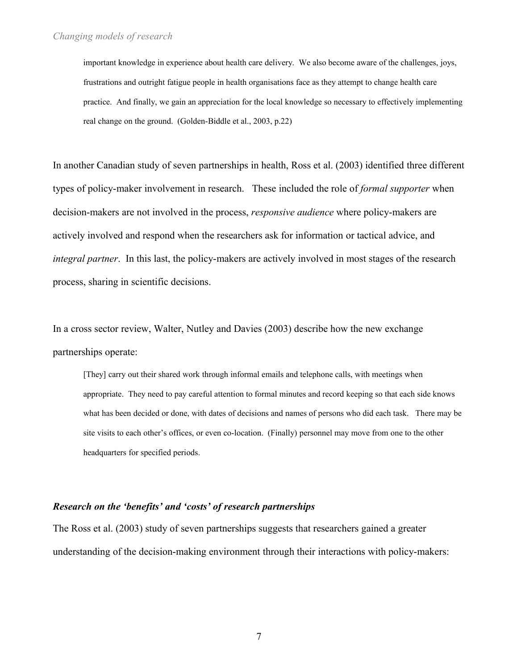important knowledge in experience about health care delivery. We also become aware of the challenges, joys, frustrations and outright fatigue people in health organisations face as they attempt to change health care practice. And finally, we gain an appreciation for the local knowledge so necessary to effectively implementing real change on the ground. (Golden-Biddle et al., 2003, p.22)

In another Canadian study of seven partnerships in health, Ross et al. (2003) identified three different types of policy-maker involvement in research. These included the role of *formal supporter* when decision-makers are not involved in the process, *responsive audience* where policy-makers are actively involved and respond when the researchers ask for information or tactical advice, and *integral partner*. In this last, the policy-makers are actively involved in most stages of the research process, sharing in scientific decisions.

In a cross sector review, Walter, Nutley and Davies (2003) describe how the new exchange partnerships operate:

[They] carry out their shared work through informal emails and telephone calls, with meetings when appropriate. They need to pay careful attention to formal minutes and record keeping so that each side knows what has been decided or done, with dates of decisions and names of persons who did each task. There may be site visits to each other's offices, or even co-location. (Finally) personnel may move from one to the other headquarters for specified periods.

#### *Research on the 'benefits' and 'costs' of research partnerships*

The Ross et al. (2003) study of seven partnerships suggests that researchers gained a greater understanding of the decision-making environment through their interactions with policy-makers: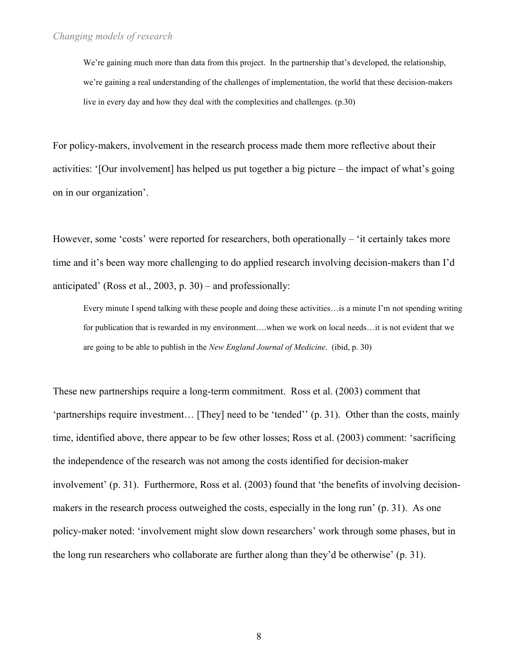We're gaining much more than data from this project. In the partnership that's developed, the relationship, we're gaining a real understanding of the challenges of implementation, the world that these decision-makers live in every day and how they deal with the complexities and challenges. (p.30)

For policy-makers, involvement in the research process made them more reflective about their activities: '[Our involvement] has helped us put together a big picture – the impact of what's going on in our organization'.

However, some 'costs' were reported for researchers, both operationally – 'it certainly takes more time and it's been way more challenging to do applied research involving decision-makers than I'd anticipated' (Ross et al., 2003, p. 30) – and professionally:

Every minute I spend talking with these people and doing these activities…is a minute I'm not spending writing for publication that is rewarded in my environment….when we work on local needs…it is not evident that we are going to be able to publish in the *New England Journal of Medicine*. (ibid, p. 30)

These new partnerships require a long-term commitment. Ross et al. (2003) comment that 'partnerships require investment… [They] need to be 'tended'' (p. 31). Other than the costs, mainly time, identified above, there appear to be few other losses; Ross et al. (2003) comment: 'sacrificing the independence of the research was not among the costs identified for decision-maker involvement' (p. 31). Furthermore, Ross et al. (2003) found that 'the benefits of involving decisionmakers in the research process outweighed the costs, especially in the long run' (p. 31). As one policy-maker noted: 'involvement might slow down researchers' work through some phases, but in the long run researchers who collaborate are further along than they'd be otherwise' (p. 31).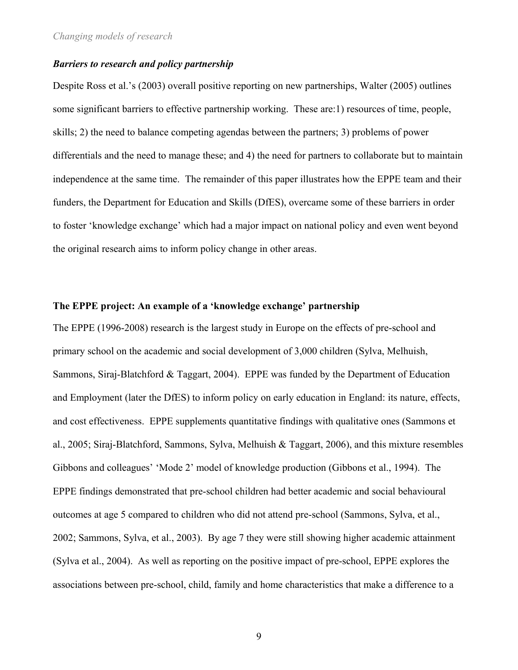## *Barriers to research and policy partnership*

Despite Ross et al.'s (2003) overall positive reporting on new partnerships, Walter (2005) outlines some significant barriers to effective partnership working. These are:1) resources of time, people, skills; 2) the need to balance competing agendas between the partners; 3) problems of power differentials and the need to manage these; and 4) the need for partners to collaborate but to maintain independence at the same time. The remainder of this paper illustrates how the EPPE team and their funders, the Department for Education and Skills (DfES), overcame some of these barriers in order to foster 'knowledge exchange' which had a major impact on national policy and even went beyond the original research aims to inform policy change in other areas.

## **The EPPE project: An example of a 'knowledge exchange' partnership**

The EPPE (1996-2008) research is the largest study in Europe on the effects of pre-school and primary school on the academic and social development of 3,000 children (Sylva, Melhuish, Sammons, Siraj-Blatchford & Taggart, 2004). EPPE was funded by the Department of Education and Employment (later the DfES) to inform policy on early education in England: its nature, effects, and cost effectiveness. EPPE supplements quantitative findings with qualitative ones (Sammons et al., 2005; Siraj-Blatchford, Sammons, Sylva, Melhuish & Taggart, 2006), and this mixture resembles Gibbons and colleagues' 'Mode 2' model of knowledge production (Gibbons et al., 1994). The EPPE findings demonstrated that pre-school children had better academic and social behavioural outcomes at age 5 compared to children who did not attend pre-school (Sammons, Sylva, et al., 2002; Sammons, Sylva, et al., 2003). By age 7 they were still showing higher academic attainment (Sylva et al., 2004). As well as reporting on the positive impact of pre-school, EPPE explores the associations between pre-school, child, family and home characteristics that make a difference to a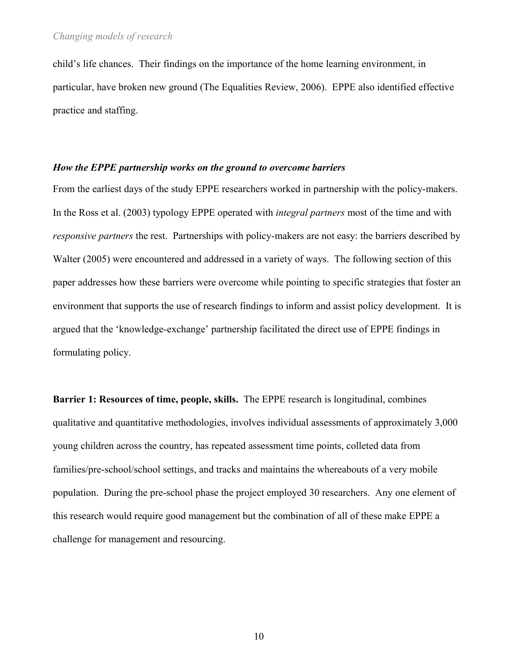child's life chances. Their findings on the importance of the home learning environment, in particular, have broken new ground (The Equalities Review, 2006). EPPE also identified effective practice and staffing.

## *How the EPPE partnership works on the ground to overcome barriers*

From the earliest days of the study EPPE researchers worked in partnership with the policy-makers. In the Ross et al. (2003) typology EPPE operated with *integral partners* most of the time and with *responsive partners* the rest. Partnerships with policy-makers are not easy: the barriers described by Walter (2005) were encountered and addressed in a variety of ways. The following section of this paper addresses how these barriers were overcome while pointing to specific strategies that foster an environment that supports the use of research findings to inform and assist policy development. It is argued that the 'knowledge-exchange' partnership facilitated the direct use of EPPE findings in formulating policy.

**Barrier 1: Resources of time, people, skills.** The EPPE research is longitudinal, combines qualitative and quantitative methodologies, involves individual assessments of approximately 3,000 young children across the country, has repeated assessment time points, colleted data from families/pre-school/school settings, and tracks and maintains the whereabouts of a very mobile population. During the pre-school phase the project employed 30 researchers. Any one element of this research would require good management but the combination of all of these make EPPE a challenge for management and resourcing.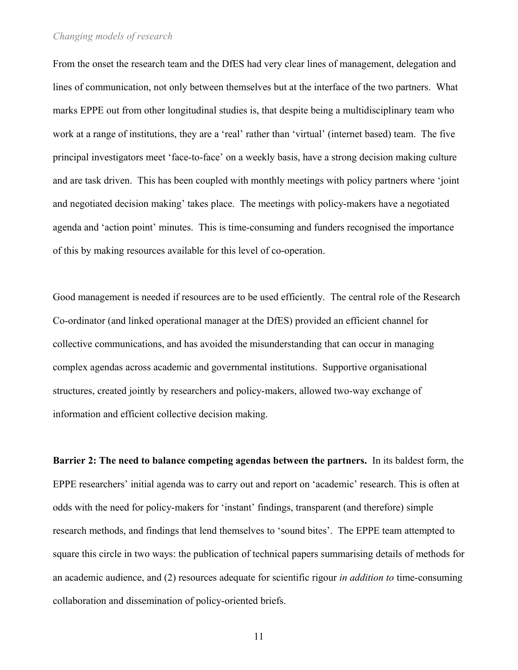From the onset the research team and the DfES had very clear lines of management, delegation and lines of communication, not only between themselves but at the interface of the two partners. What marks EPPE out from other longitudinal studies is, that despite being a multidisciplinary team who work at a range of institutions, they are a 'real' rather than 'virtual' (internet based) team. The five principal investigators meet 'face-to-face' on a weekly basis, have a strong decision making culture and are task driven. This has been coupled with monthly meetings with policy partners where 'joint and negotiated decision making' takes place. The meetings with policy-makers have a negotiated agenda and 'action point' minutes. This is time-consuming and funders recognised the importance of this by making resources available for this level of co-operation.

Good management is needed if resources are to be used efficiently. The central role of the Research Co-ordinator (and linked operational manager at the DfES) provided an efficient channel for collective communications, and has avoided the misunderstanding that can occur in managing complex agendas across academic and governmental institutions. Supportive organisational structures, created jointly by researchers and policy-makers, allowed two-way exchange of information and efficient collective decision making.

**Barrier 2: The need to balance competing agendas between the partners.** In its baldest form, the EPPE researchers' initial agenda was to carry out and report on 'academic' research. This is often at odds with the need for policy-makers for 'instant' findings, transparent (and therefore) simple research methods, and findings that lend themselves to 'sound bites'. The EPPE team attempted to square this circle in two ways: the publication of technical papers summarising details of methods for an academic audience, and (2) resources adequate for scientific rigour *in addition to* time-consuming collaboration and dissemination of policy-oriented briefs.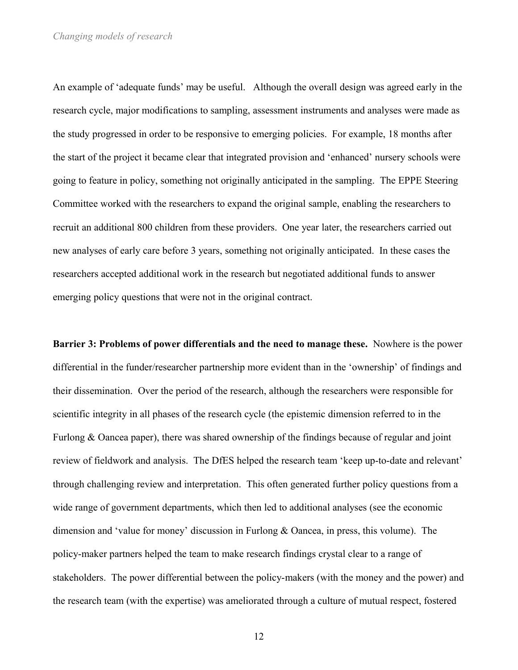An example of 'adequate funds' may be useful. Although the overall design was agreed early in the research cycle, major modifications to sampling, assessment instruments and analyses were made as the study progressed in order to be responsive to emerging policies. For example, 18 months after the start of the project it became clear that integrated provision and 'enhanced' nursery schools were going to feature in policy, something not originally anticipated in the sampling. The EPPE Steering Committee worked with the researchers to expand the original sample, enabling the researchers to recruit an additional 800 children from these providers. One year later, the researchers carried out new analyses of early care before 3 years, something not originally anticipated. In these cases the researchers accepted additional work in the research but negotiated additional funds to answer emerging policy questions that were not in the original contract.

**Barrier 3: Problems of power differentials and the need to manage these.** Nowhere is the power differential in the funder/researcher partnership more evident than in the 'ownership' of findings and their dissemination. Over the period of the research, although the researchers were responsible for scientific integrity in all phases of the research cycle (the epistemic dimension referred to in the Furlong & Oancea paper), there was shared ownership of the findings because of regular and joint review of fieldwork and analysis. The DfES helped the research team 'keep up-to-date and relevant' through challenging review and interpretation. This often generated further policy questions from a wide range of government departments, which then led to additional analyses (see the economic dimension and 'value for money' discussion in Furlong & Oancea, in press, this volume). The policy-maker partners helped the team to make research findings crystal clear to a range of stakeholders. The power differential between the policy-makers (with the money and the power) and the research team (with the expertise) was ameliorated through a culture of mutual respect, fostered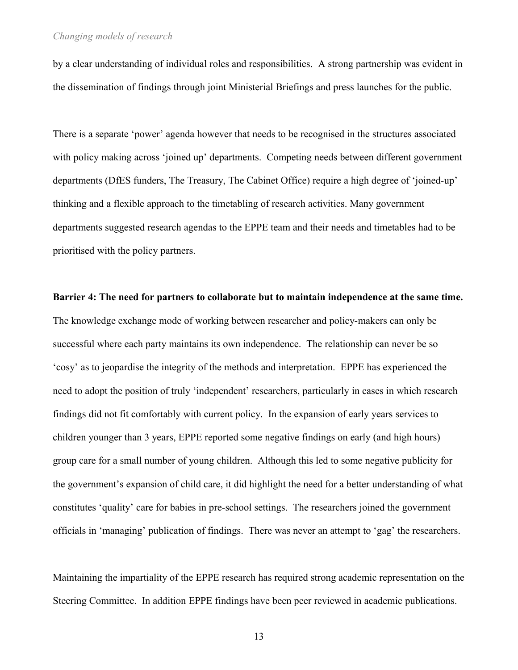by a clear understanding of individual roles and responsibilities. A strong partnership was evident in the dissemination of findings through joint Ministerial Briefings and press launches for the public.

There is a separate 'power' agenda however that needs to be recognised in the structures associated with policy making across 'joined up' departments. Competing needs between different government departments (DfES funders, The Treasury, The Cabinet Office) require a high degree of 'joined-up' thinking and a flexible approach to the timetabling of research activities. Many government departments suggested research agendas to the EPPE team and their needs and timetables had to be prioritised with the policy partners.

**Barrier 4: The need for partners to collaborate but to maintain independence at the same time.** The knowledge exchange mode of working between researcher and policy-makers can only be successful where each party maintains its own independence. The relationship can never be so 'cosy' as to jeopardise the integrity of the methods and interpretation. EPPE has experienced the need to adopt the position of truly 'independent' researchers, particularly in cases in which research findings did not fit comfortably with current policy. In the expansion of early years services to children younger than 3 years, EPPE reported some negative findings on early (and high hours) group care for a small number of young children. Although this led to some negative publicity for the government's expansion of child care, it did highlight the need for a better understanding of what constitutes 'quality' care for babies in pre-school settings. The researchers joined the government officials in 'managing' publication of findings. There was never an attempt to 'gag' the researchers.

Maintaining the impartiality of the EPPE research has required strong academic representation on the Steering Committee. In addition EPPE findings have been peer reviewed in academic publications.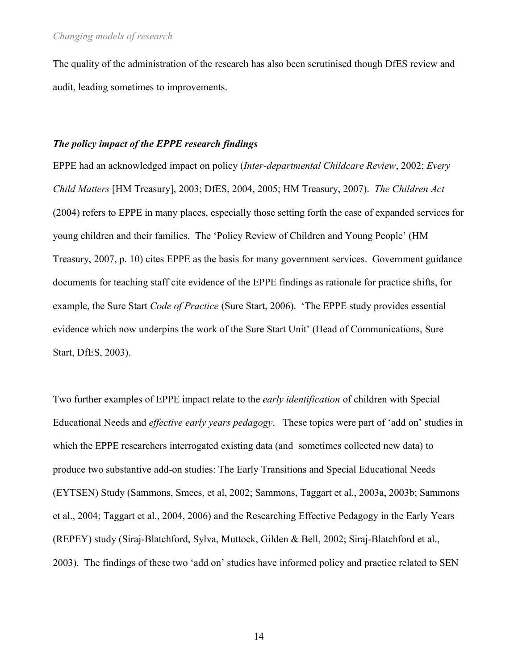The quality of the administration of the research has also been scrutinised though DfES review and audit, leading sometimes to improvements.

# *The policy impact of the EPPE research findings*

EPPE had an acknowledged impact on policy (*Inter-departmental Childcare Review*, 2002; *Every Child Matters* [HM Treasury], 2003; DfES, 2004, 2005; HM Treasury, 2007). *The Children Act* (2004) refers to EPPE in many places, especially those setting forth the case of expanded services for young children and their families. The 'Policy Review of Children and Young People' (HM Treasury, 2007, p. 10) cites EPPE as the basis for many government services. Government guidance documents for teaching staff cite evidence of the EPPE findings as rationale for practice shifts, for example, the Sure Start *Code of Practice* (Sure Start, 2006). 'The EPPE study provides essential evidence which now underpins the work of the Sure Start Unit' (Head of Communications, Sure Start, DfES, 2003).

Two further examples of EPPE impact relate to the *early identification* of children with Special Educational Needs and *effective early years pedagogy*. These topics were part of 'add on' studies in which the EPPE researchers interrogated existing data (and sometimes collected new data) to produce two substantive add-on studies: The Early Transitions and Special Educational Needs (EYTSEN) Study (Sammons, Smees, et al, 2002; Sammons, Taggart et al., 2003a, 2003b; Sammons et al., 2004; Taggart et al., 2004, 2006) and the Researching Effective Pedagogy in the Early Years (REPEY) study (Siraj-Blatchford, Sylva, Muttock, Gilden & Bell, 2002; Siraj-Blatchford et al., 2003). The findings of these two 'add on' studies have informed policy and practice related to SEN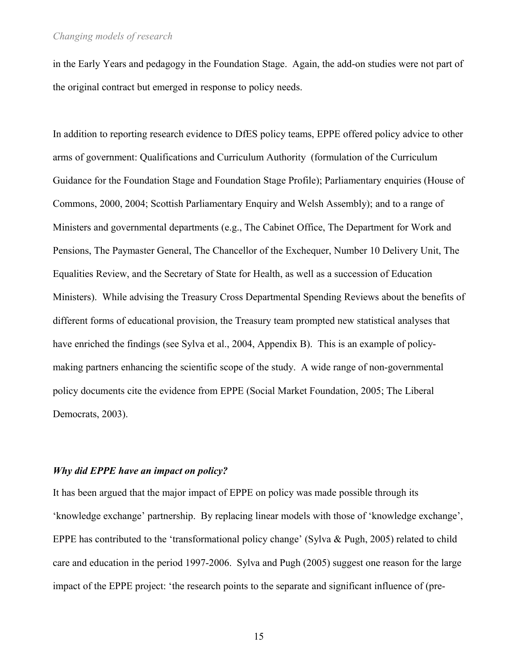in the Early Years and pedagogy in the Foundation Stage. Again, the add-on studies were not part of the original contract but emerged in response to policy needs.

In addition to reporting research evidence to DfES policy teams, EPPE offered policy advice to other arms of government: Qualifications and Curriculum Authority (formulation of the Curriculum Guidance for the Foundation Stage and Foundation Stage Profile); Parliamentary enquiries (House of Commons, 2000, 2004; Scottish Parliamentary Enquiry and Welsh Assembly); and to a range of Ministers and governmental departments (e.g., The Cabinet Office, The Department for Work and Pensions, The Paymaster General, The Chancellor of the Exchequer, Number 10 Delivery Unit, The Equalities Review, and the Secretary of State for Health, as well as a succession of Education Ministers). While advising the Treasury Cross Departmental Spending Reviews about the benefits of different forms of educational provision, the Treasury team prompted new statistical analyses that have enriched the findings (see Sylva et al., 2004, Appendix B). This is an example of policymaking partners enhancing the scientific scope of the study. A wide range of non-governmental policy documents cite the evidence from EPPE (Social Market Foundation, 2005; The Liberal Democrats, 2003).

## *Why did EPPE have an impact on policy?*

It has been argued that the major impact of EPPE on policy was made possible through its 'knowledge exchange' partnership. By replacing linear models with those of 'knowledge exchange', EPPE has contributed to the 'transformational policy change' (Sylva & Pugh, 2005) related to child care and education in the period 1997-2006. Sylva and Pugh (2005) suggest one reason for the large impact of the EPPE project: 'the research points to the separate and significant influence of (pre-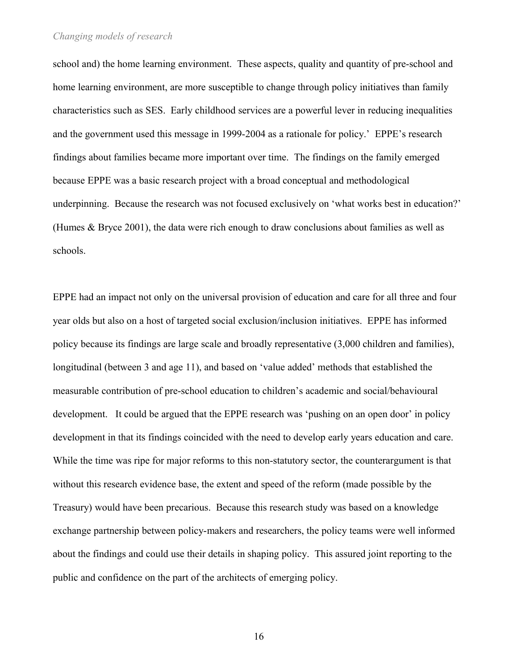school and) the home learning environment. These aspects, quality and quantity of pre-school and home learning environment, are more susceptible to change through policy initiatives than family characteristics such as SES. Early childhood services are a powerful lever in reducing inequalities and the government used this message in 1999-2004 as a rationale for policy.' EPPE's research findings about families became more important over time. The findings on the family emerged because EPPE was a basic research project with a broad conceptual and methodological underpinning. Because the research was not focused exclusively on 'what works best in education?' (Humes & Bryce 2001), the data were rich enough to draw conclusions about families as well as schools.

EPPE had an impact not only on the universal provision of education and care for all three and four year olds but also on a host of targeted social exclusion/inclusion initiatives. EPPE has informed policy because its findings are large scale and broadly representative (3,000 children and families), longitudinal (between 3 and age 11), and based on 'value added' methods that established the measurable contribution of pre-school education to children's academic and social/behavioural development. It could be argued that the EPPE research was 'pushing on an open door' in policy development in that its findings coincided with the need to develop early years education and care. While the time was ripe for major reforms to this non-statutory sector, the counterargument is that without this research evidence base, the extent and speed of the reform (made possible by the Treasury) would have been precarious. Because this research study was based on a knowledge exchange partnership between policy-makers and researchers, the policy teams were well informed about the findings and could use their details in shaping policy. This assured joint reporting to the public and confidence on the part of the architects of emerging policy.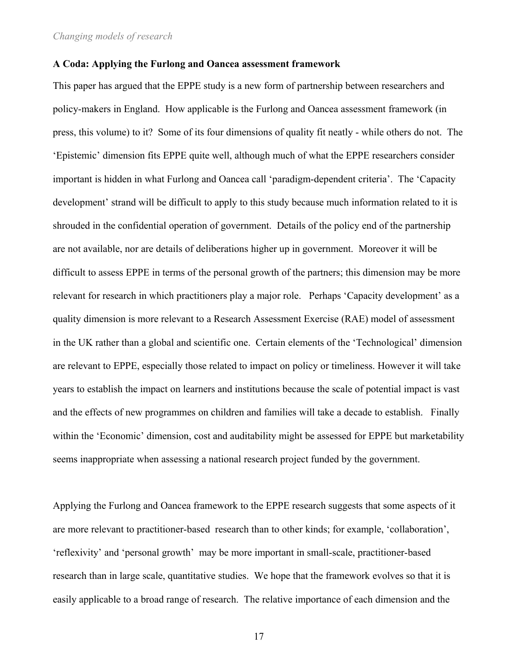#### **A Coda: Applying the Furlong and Oancea assessment framework**

This paper has argued that the EPPE study is a new form of partnership between researchers and policy-makers in England. How applicable is the Furlong and Oancea assessment framework (in press, this volume) to it? Some of its four dimensions of quality fit neatly - while others do not. The 'Epistemic' dimension fits EPPE quite well, although much of what the EPPE researchers consider important is hidden in what Furlong and Oancea call 'paradigm-dependent criteria'. The 'Capacity development' strand will be difficult to apply to this study because much information related to it is shrouded in the confidential operation of government. Details of the policy end of the partnership are not available, nor are details of deliberations higher up in government. Moreover it will be difficult to assess EPPE in terms of the personal growth of the partners; this dimension may be more relevant for research in which practitioners play a major role. Perhaps 'Capacity development' as a quality dimension is more relevant to a Research Assessment Exercise (RAE) model of assessment in the UK rather than a global and scientific one. Certain elements of the 'Technological' dimension are relevant to EPPE, especially those related to impact on policy or timeliness. However it will take years to establish the impact on learners and institutions because the scale of potential impact is vast and the effects of new programmes on children and families will take a decade to establish. Finally within the 'Economic' dimension, cost and auditability might be assessed for EPPE but marketability seems inappropriate when assessing a national research project funded by the government.

Applying the Furlong and Oancea framework to the EPPE research suggests that some aspects of it are more relevant to practitioner-based research than to other kinds; for example, 'collaboration', 'reflexivity' and 'personal growth' may be more important in small-scale, practitioner-based research than in large scale, quantitative studies. We hope that the framework evolves so that it is easily applicable to a broad range of research. The relative importance of each dimension and the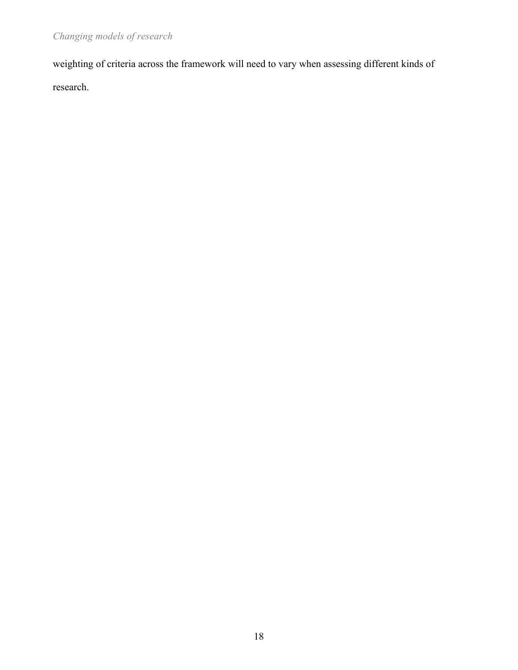weighting of criteria across the framework will need to vary when assessing different kinds of

research.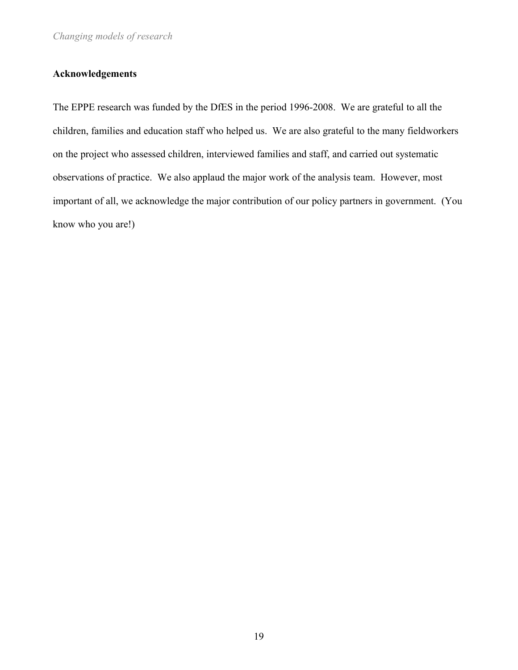# **Acknowledgements**

The EPPE research was funded by the DfES in the period 1996-2008. We are grateful to all the children, families and education staff who helped us. We are also grateful to the many fieldworkers on the project who assessed children, interviewed families and staff, and carried out systematic observations of practice. We also applaud the major work of the analysis team. However, most important of all, we acknowledge the major contribution of our policy partners in government. (You know who you are!)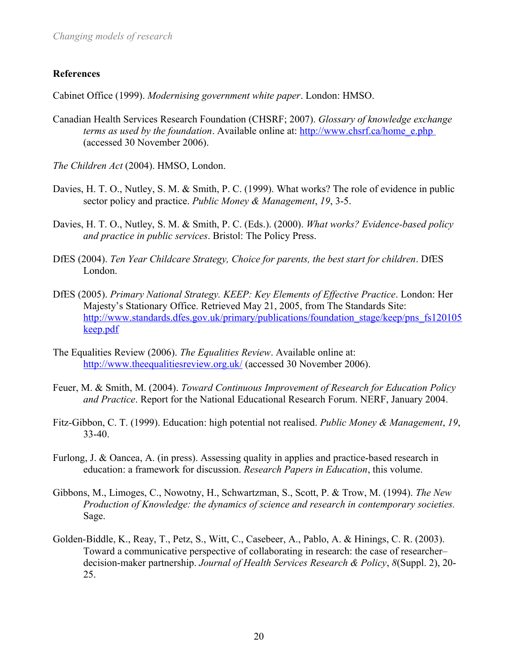## **References**

Cabinet Office (1999). *Modernising government white paper*. London: HMSO.

- Canadian Health Services Research Foundation (CHSRF; 2007). *Glossary of knowledge exchange terms as used by the foundation.* Available online at: [http://www.chsrf.ca/home\\_e.php](http://www.chsrf.ca/home_e.php) (accessed 30 November 2006).
- *The Children Act* (2004). HMSO, London.
- Davies, H. T. O., Nutley, S. M. & Smith, P. C. (1999). What works? The role of evidence in public sector policy and practice. *Public Money & Management*, *19*, 3-5.
- Davies, H. T. O., Nutley, S. M. & Smith, P. C. (Eds.). (2000). *What works? Evidence-based policy and practice in public services*. Bristol: The Policy Press.
- DfES (2004). *Ten Year Childcare Strategy, Choice for parents, the best start for children*. DfES London.
- DfES (2005). *Primary National Strategy. KEEP: Key Elements of Effective Practice*. London: Her Majesty's Stationary Office. Retrieved May 21, 2005, from The Standards Site: [http://www.standards.dfes.gov.uk/primary/publications/foundation\\_stage/keep/pns\\_fs120105](http://www.standards.dfes.gov.uk/primary/publications/foundation_stage/keep/pns_fs120105keep.pdf) [keep.pdf](http://www.standards.dfes.gov.uk/primary/publications/foundation_stage/keep/pns_fs120105keep.pdf)
- The Equalities Review (2006). *The Equalities Review*. Available online at: <http://www.theequalitiesreview.org.uk/>(accessed 30 November 2006).
- Feuer, M. & Smith, M. (2004). *Toward Continuous Improvement of Research for Education Policy and Practice*. Report for the National Educational Research Forum. NERF, January 2004.
- Fitz-Gibbon, C. T. (1999). Education: high potential not realised. *Public Money & Management*, *19*, 33-40.
- Furlong, J. & Oancea, A. (in press). Assessing quality in applies and practice-based research in education: a framework for discussion. *Research Papers in Education*, this volume.
- Gibbons, M., Limoges, C., Nowotny, H., Schwartzman, S., Scott, P. & Trow, M. (1994). *The New Production of Knowledge: the dynamics of science and research in contemporary societies.* Sage.
- Golden-Biddle, K., Reay, T., Petz, S., Witt, C., Casebeer, A., Pablo, A. & Hinings, C. R. (2003). Toward a communicative perspective of collaborating in research: the case of researcher– decision-maker partnership. *Journal of Health Services Research & Policy*, *8*(Suppl. 2), 20- 25.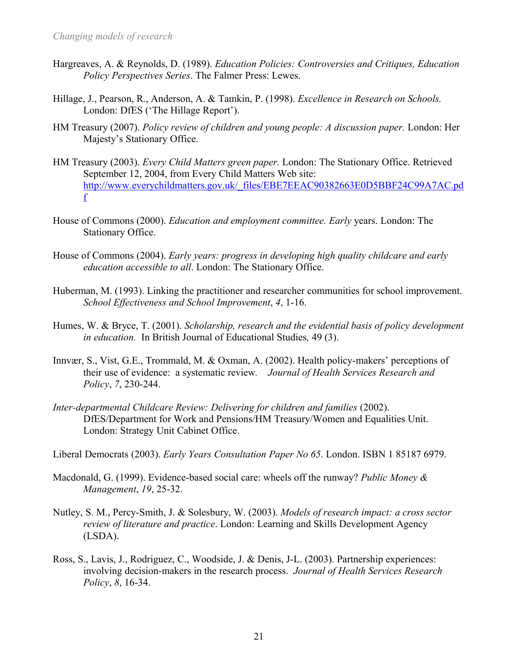- Hargreaves, A. & Reynolds, D. (1989). *Education Policies: Controversies and Critiques, Education Policy Perspectives Series*. The Falmer Press: Lewes.
- Hillage, J., Pearson, R., Anderson, A. & Tamkin, P. (1998). *Excellence in Research on Schools.* London: DfES ('The Hillage Report').
- HM Treasury (2007). *Policy review of children and young people: A discussion paper.* London: Her Majesty's Stationary Office.
- HM Treasury (2003). *Every Child Matters green paper.* London: The Stationary Office. Retrieved September 12, 2004, from Every Child Matters Web site: [http://www.everychildmatters.gov.uk/\\_files/EBE7EEAC90382663E0D5BBF24C99A7AC.pd](http://www.everychildmatters.gov.uk/_files/EBE7EEAC90382663E0D5BBF24C99A7AC.pdf) [f](http://www.everychildmatters.gov.uk/_files/EBE7EEAC90382663E0D5BBF24C99A7AC.pdf)
- House of Commons (2000). *Education and employment committee. Early* years. London: The Stationary Office.
- House of Commons (2004). *Early years: progress in developing high quality childcare and early education accessible to all*. London: The Stationary Office.
- Huberman, M. (1993). Linking the practitioner and researcher communities for school improvement. *School Effectiveness and School Improvement*, *4*, 1-16.
- Humes, W. & Bryce, T. (2001). *Scholarship, research and the evidential basis of policy development in education.* In British Journal of Educational Studies*,* 49 (3).
- Innvær, S., Vist, G.E., Trommald, M. & Oxman, A. (2002). Health policy-makers' perceptions of their use of evidence: a systematic review*. Journal of Health Services Research and Policy*, *7*, 230-244.
- *Inter-departmental Childcare Review: Delivering for children and families* (2002). DfES/Department for Work and Pensions/HM Treasury/Women and Equalities Unit. London: Strategy Unit Cabinet Office.
- Liberal Democrats (2003). *Early Years Consultation Paper No 65*. London. ISBN 1 85187 6979.
- Macdonald, G. (1999). Evidence-based social care: wheels off the runway? *Public Money & Management*, *19*, 25-32.
- Nutley, S. M., Percy-Smith, J. & Solesbury, W. (2003). *Models of research impact: a cross sector review of literature and practice*. London: Learning and Skills Development Agency (LSDA).
- Ross, S., Lavis, J., Rodriguez, C., Woodside, J. & Denis, J-L. (2003). Partnership experiences: involving decision-makers in the research process. *Journal of Health Services Research Policy*, *8*, 16-34.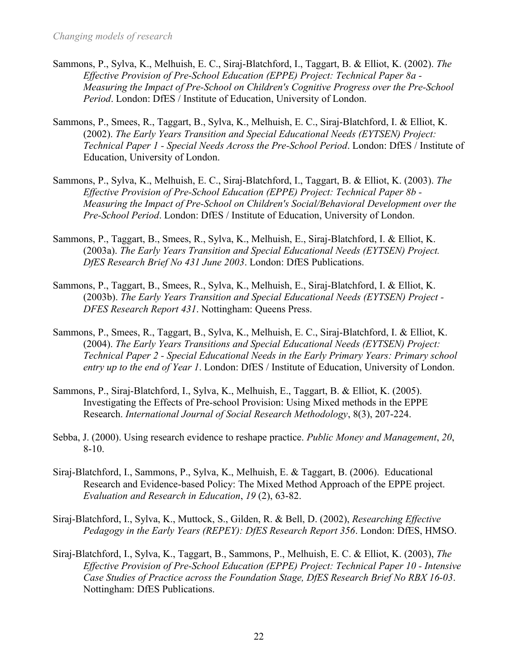- Sammons, P., Sylva, K., Melhuish, E. C., Siraj-Blatchford, I., Taggart, B. & Elliot, K. (2002). *The Effective Provision of Pre-School Education (EPPE) Project: Technical Paper 8a - Measuring the Impact of Pre-School on Children's Cognitive Progress over the Pre-School Period*. London: DfES / Institute of Education, University of London.
- Sammons, P., Smees, R., Taggart, B., Sylva, K., Melhuish, E. C., Siraj-Blatchford, I. & Elliot, K. (2002). *The Early Years Transition and Special Educational Needs (EYTSEN) Project: Technical Paper 1 - Special Needs Across the Pre-School Period*. London: DfES / Institute of Education, University of London.
- Sammons, P., Sylva, K., Melhuish, E. C., Siraj-Blatchford, I., Taggart, B. & Elliot, K. (2003). *The Effective Provision of Pre-School Education (EPPE) Project: Technical Paper 8b - Measuring the Impact of Pre-School on Children's Social/Behavioral Development over the Pre-School Period*. London: DfES / Institute of Education, University of London.
- Sammons, P., Taggart, B., Smees, R., Sylva, K., Melhuish, E., Siraj-Blatchford, I. & Elliot, K. (2003a). *The Early Years Transition and Special Educational Needs (EYTSEN) Project. DfES Research Brief No 431 June 2003*. London: DfES Publications.
- Sammons, P., Taggart, B., Smees, R., Sylva, K., Melhuish, E., Siraj-Blatchford, I. & Elliot, K. (2003b). *The Early Years Transition and Special Educational Needs (EYTSEN) Project - DFES Research Report 431*. Nottingham: Queens Press.
- Sammons, P., Smees, R., Taggart, B., Sylva, K., Melhuish, E. C., Siraj-Blatchford, I. & Elliot, K. (2004). *The Early Years Transitions and Special Educational Needs (EYTSEN) Project: Technical Paper 2 - Special Educational Needs in the Early Primary Years: Primary school entry up to the end of Year 1*. London: DfES / Institute of Education, University of London.
- Sammons, P., Siraj-Blatchford, I., Sylva, K., Melhuish, E., Taggart, B. & Elliot, K. (2005). Investigating the Effects of Pre-school Provision: Using Mixed methods in the EPPE Research. *International Journal of Social Research Methodology*, 8(3), 207-224.
- Sebba, J. (2000). Using research evidence to reshape practice. *Public Money and Management*, *20*, 8-10.
- Siraj-Blatchford, I., Sammons, P., Sylva, K., Melhuish, E. & Taggart, B. (2006). Educational Research and Evidence-based Policy: The Mixed Method Approach of the EPPE project. *Evaluation and Research in Education*, *19* (2), 63-82.
- Siraj-Blatchford, I., Sylva, K., Muttock, S., Gilden, R. & Bell, D. (2002), *Researching Effective Pedagogy in the Early Years (REPEY): DfES Research Report 356*. London: DfES, HMSO.
- Siraj-Blatchford, I., Sylva, K., Taggart, B., Sammons, P., Melhuish, E. C. & Elliot, K. (2003), *The Effective Provision of Pre-School Education (EPPE) Project: Technical Paper 10 - Intensive Case Studies of Practice across the Foundation Stage, DfES Research Brief No RBX 16-03*. Nottingham: DfES Publications.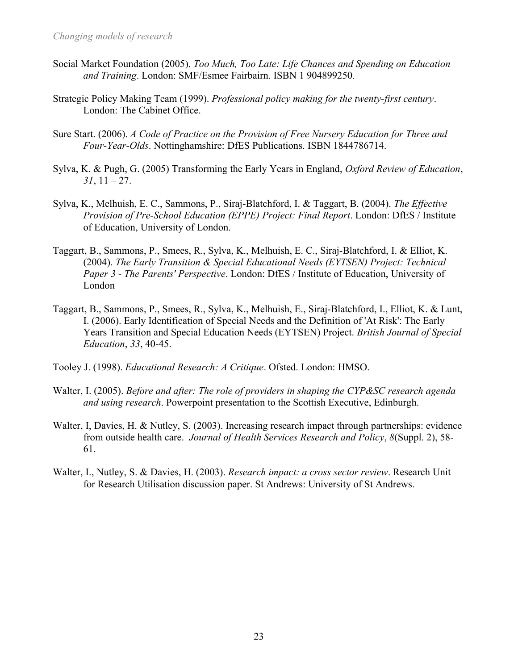- Social Market Foundation (2005). *Too Much, Too Late: Life Chances and Spending on Education and Training*. London: SMF/Esmee Fairbairn. ISBN 1 904899250.
- Strategic Policy Making Team (1999). *Professional policy making for the twenty-first century*. London: The Cabinet Office.
- Sure Start. (2006). *A Code of Practice on the Provision of Free Nursery Education for Three and Four-Year-Olds*. Nottinghamshire: DfES Publications. ISBN 1844786714.
- Sylva, K. & Pugh, G. (2005) Transforming the Early Years in England, *Oxford Review of Education*, *31*, 11 – 27.
- Sylva, K., Melhuish, E. C., Sammons, P., Siraj-Blatchford, I. & Taggart, B. (2004). *The Effective Provision of Pre-School Education (EPPE) Project: Final Report*. London: DfES / Institute of Education, University of London.
- Taggart, B., Sammons, P., Smees, R., Sylva, K., Melhuish, E. C., Siraj-Blatchford, I. & Elliot, K. (2004). *The Early Transition & Special Educational Needs (EYTSEN) Project: Technical Paper 3 - The Parents' Perspective*. London: DfES / Institute of Education, University of London
- Taggart, B., Sammons, P., Smees, R., Sylva, K., Melhuish, E., Siraj-Blatchford, I., Elliot, K. & Lunt, I. (2006). Early Identification of Special Needs and the Definition of 'At Risk': The Early Years Transition and Special Education Needs (EYTSEN) Project. *British Journal of Special Education*, *33*, 40-45.
- Tooley J. (1998). *Educational Research: A Critique*. Ofsted. London: HMSO.
- Walter, I. (2005). *Before and after: The role of providers in shaping the CYP&SC research agenda and using research*. Powerpoint presentation to the Scottish Executive, Edinburgh.
- Walter, I, Davies, H. & Nutley, S. (2003). Increasing research impact through partnerships: evidence from outside health care. *Journal of Health Services Research and Policy*, *8*(Suppl. 2), 58- 61.
- Walter, I., Nutley, S. & Davies, H. (2003). *Research impact: a cross sector review*. Research Unit for Research Utilisation discussion paper. St Andrews: University of St Andrews.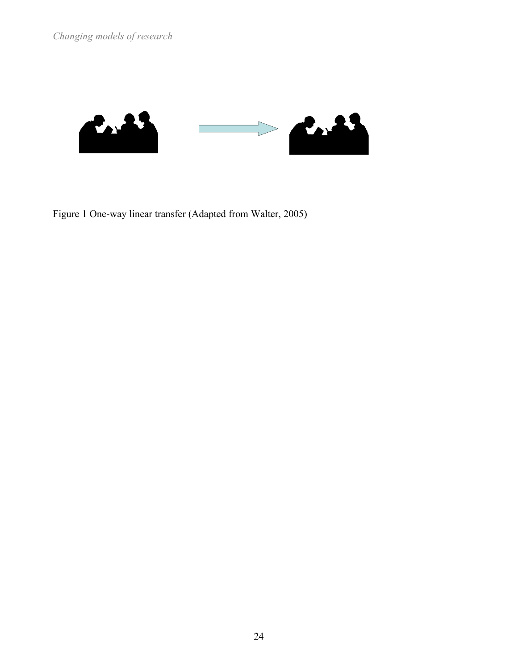

Figure 1 One-way linear transfer (Adapted from Walter, 2005)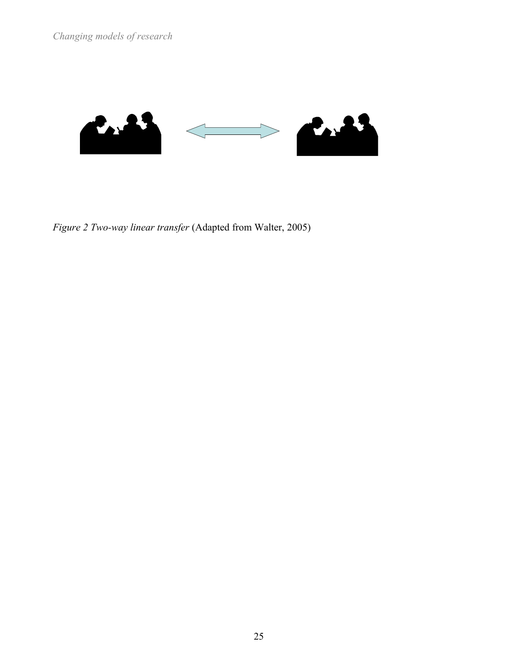

*Figure 2 Two-way linear transfer* (Adapted from Walter, 2005)